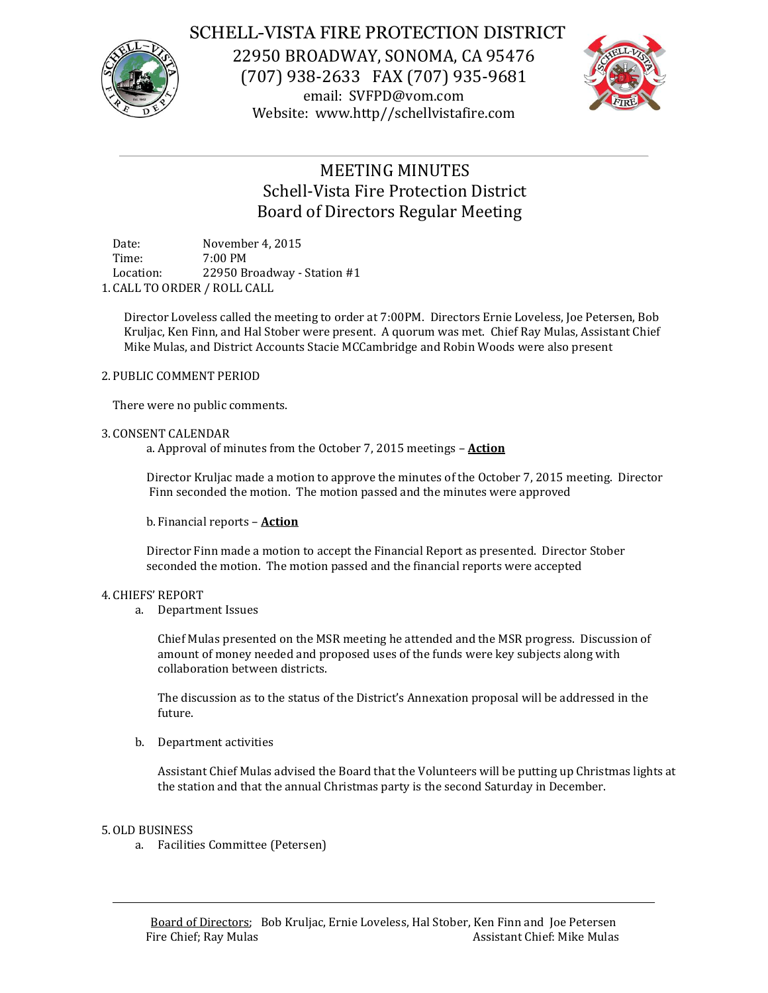

## SCHELL-VISTA FIRE PROTECTION DISTRICT

22950 BROADWAY, SONOMA, CA 95476 (707) 938-2633 FAX (707) 935-9681 email: SVFPD@vom.com Website: www.http//schellvistafire.com



# MEETING MINUTES Schell-Vista Fire Protection District Board of Directors Regular Meeting

Date: November 4, 2015 Time: 7:00 PM Location: 22950 Broadway - Station #1 1. CALL TO ORDER / ROLL CALL

Director Loveless called the meeting to order at 7:00PM. Directors Ernie Loveless, Joe Petersen, Bob Kruljac, Ken Finn, and Hal Stober were present. A quorum was met. Chief Ray Mulas, Assistant Chief Mike Mulas, and District Accounts Stacie MCCambridge and Robin Woods were also present

### 2. PUBLIC COMMENT PERIOD

There were no public comments.

### 3. CONSENT CALENDAR

a. Approval of minutes from the October 7, 2015 meetings – **Action**

Director Kruljac made a motion to approve the minutes of the October 7, 2015 meeting. Director Finn seconded the motion. The motion passed and the minutes were approved

b. Financial reports – **Action**

Director Finn made a motion to accept the Financial Report as presented. Director Stober seconded the motion. The motion passed and the financial reports were accepted

#### 4. CHIEFS' REPORT

a. Department Issues

Chief Mulas presented on the MSR meeting he attended and the MSR progress. Discussion of amount of money needed and proposed uses of the funds were key subjects along with collaboration between districts.

The discussion as to the status of the District's Annexation proposal will be addressed in the future.

b. Department activities

Assistant Chief Mulas advised the Board that the Volunteers will be putting up Christmas lights at the station and that the annual Christmas party is the second Saturday in December.

#### 5.OLD BUSINESS

a. Facilities Committee (Petersen)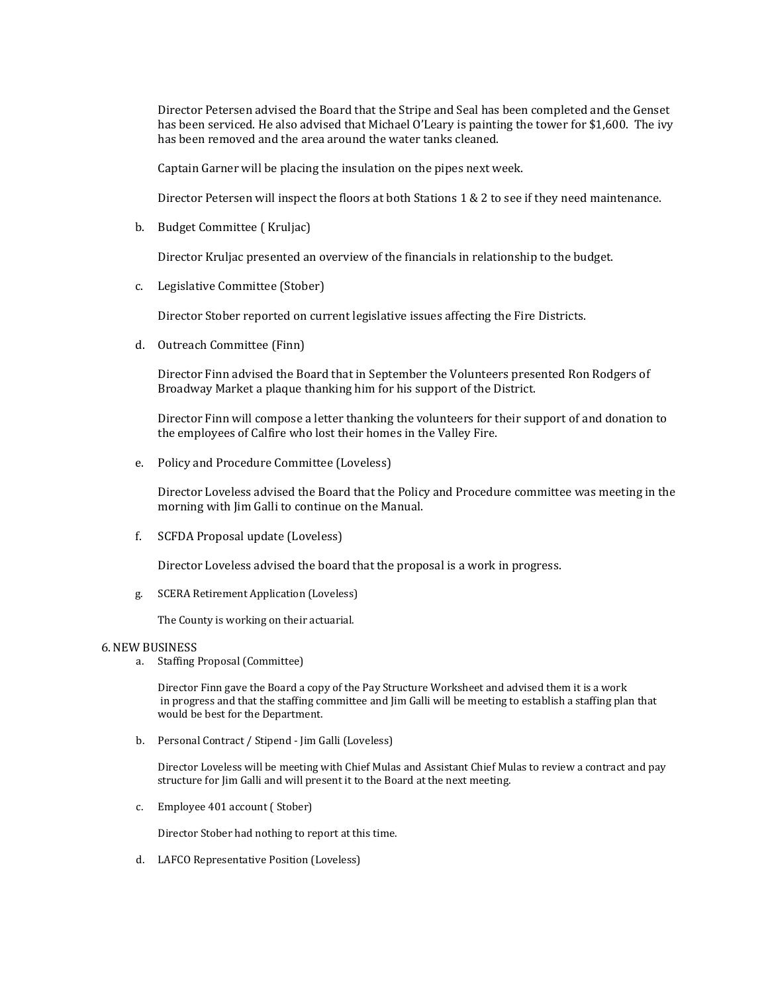Director Petersen advised the Board that the Stripe and Seal has been completed and the Genset has been serviced. He also advised that Michael O'Leary is painting the tower for \$1,600. The ivy has been removed and the area around the water tanks cleaned.

Captain Garner will be placing the insulation on the pipes next week.

Director Petersen will inspect the floors at both Stations 1 & 2 to see if they need maintenance.

b. Budget Committee ( Kruljac)

Director Kruljac presented an overview of the financials in relationship to the budget.

c. Legislative Committee (Stober)

Director Stober reported on current legislative issues affecting the Fire Districts.

d. Outreach Committee (Finn)

Director Finn advised the Board that in September the Volunteers presented Ron Rodgers of Broadway Market a plaque thanking him for his support of the District.

Director Finn will compose a letter thanking the volunteers for their support of and donation to the employees of Calfire who lost their homes in the Valley Fire.

e. Policy and Procedure Committee (Loveless)

Director Loveless advised the Board that the Policy and Procedure committee was meeting in the morning with Jim Galli to continue on the Manual.

f. SCFDA Proposal update (Loveless)

Director Loveless advised the board that the proposal is a work in progress.

g. SCERA Retirement Application (Loveless)

The County is working on their actuarial.

#### 6.NEW BUSINESS

a. Staffing Proposal (Committee)

Director Finn gave the Board a copy of the Pay Structure Worksheet and advised them it is a work in progress and that the staffing committee and Jim Galli will be meeting to establish a staffing plan that would be best for the Department.

b. Personal Contract / Stipend - Jim Galli (Loveless)

Director Loveless will be meeting with Chief Mulas and Assistant Chief Mulas to review a contract and pay structure for Jim Galli and will present it to the Board at the next meeting.

c. Employee 401 account ( Stober)

Director Stober had nothing to report at this time.

d. LAFCO Representative Position (Loveless)